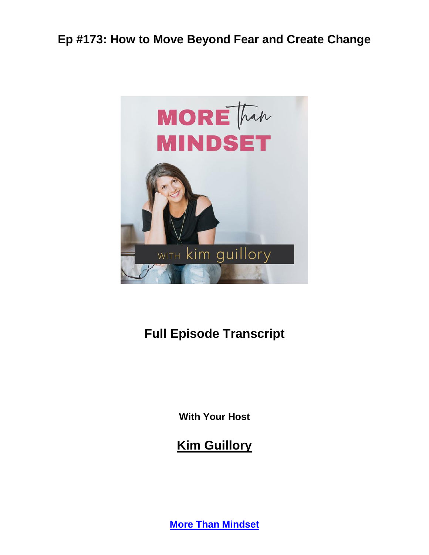

# **Full Episode Transcript**

**With Your Host**

**Kim Guillory**

**[More Than Mindset](https://kimguillory.com/podcast)**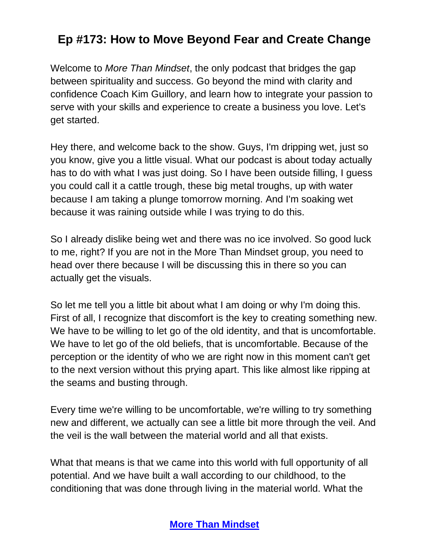Welcome to *More Than Mindset*, the only podcast that bridges the gap between spirituality and success. Go beyond the mind with clarity and confidence Coach Kim Guillory, and learn how to integrate your passion to serve with your skills and experience to create a business you love. Let's get started.

Hey there, and welcome back to the show. Guys, I'm dripping wet, just so you know, give you a little visual. What our podcast is about today actually has to do with what I was just doing. So I have been outside filling, I guess you could call it a cattle trough, these big metal troughs, up with water because I am taking a plunge tomorrow morning. And I'm soaking wet because it was raining outside while I was trying to do this.

So I already dislike being wet and there was no ice involved. So good luck to me, right? If you are not in the More Than Mindset group, you need to head over there because I will be discussing this in there so you can actually get the visuals.

So let me tell you a little bit about what I am doing or why I'm doing this. First of all, I recognize that discomfort is the key to creating something new. We have to be willing to let go of the old identity, and that is uncomfortable. We have to let go of the old beliefs, that is uncomfortable. Because of the perception or the identity of who we are right now in this moment can't get to the next version without this prying apart. This like almost like ripping at the seams and busting through.

Every time we're willing to be uncomfortable, we're willing to try something new and different, we actually can see a little bit more through the veil. And the veil is the wall between the material world and all that exists.

What that means is that we came into this world with full opportunity of all potential. And we have built a wall according to our childhood, to the conditioning that was done through living in the material world. What the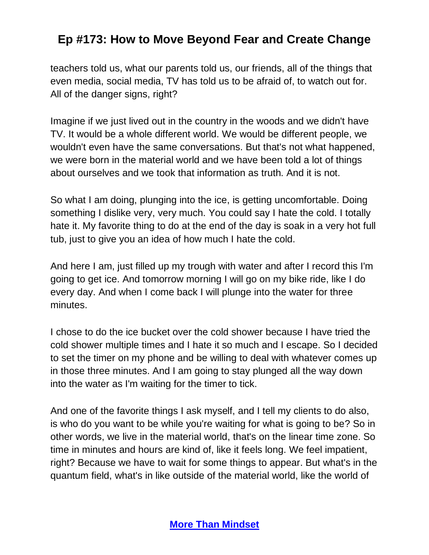teachers told us, what our parents told us, our friends, all of the things that even media, social media, TV has told us to be afraid of, to watch out for. All of the danger signs, right?

Imagine if we just lived out in the country in the woods and we didn't have TV. It would be a whole different world. We would be different people, we wouldn't even have the same conversations. But that's not what happened, we were born in the material world and we have been told a lot of things about ourselves and we took that information as truth. And it is not.

So what I am doing, plunging into the ice, is getting uncomfortable. Doing something I dislike very, very much. You could say I hate the cold. I totally hate it. My favorite thing to do at the end of the day is soak in a very hot full tub, just to give you an idea of how much I hate the cold.

And here I am, just filled up my trough with water and after I record this I'm going to get ice. And tomorrow morning I will go on my bike ride, like I do every day. And when I come back I will plunge into the water for three minutes.

I chose to do the ice bucket over the cold shower because I have tried the cold shower multiple times and I hate it so much and I escape. So I decided to set the timer on my phone and be willing to deal with whatever comes up in those three minutes. And I am going to stay plunged all the way down into the water as I'm waiting for the timer to tick.

And one of the favorite things I ask myself, and I tell my clients to do also, is who do you want to be while you're waiting for what is going to be? So in other words, we live in the material world, that's on the linear time zone. So time in minutes and hours are kind of, like it feels long. We feel impatient, right? Because we have to wait for some things to appear. But what's in the quantum field, what's in like outside of the material world, like the world of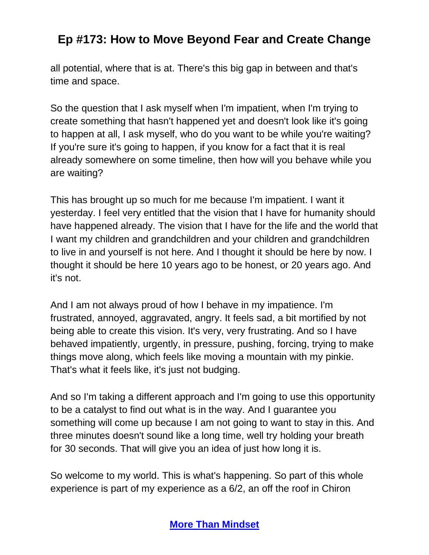all potential, where that is at. There's this big gap in between and that's time and space.

So the question that I ask myself when I'm impatient, when I'm trying to create something that hasn't happened yet and doesn't look like it's going to happen at all, I ask myself, who do you want to be while you're waiting? If you're sure it's going to happen, if you know for a fact that it is real already somewhere on some timeline, then how will you behave while you are waiting?

This has brought up so much for me because I'm impatient. I want it yesterday. I feel very entitled that the vision that I have for humanity should have happened already. The vision that I have for the life and the world that I want my children and grandchildren and your children and grandchildren to live in and yourself is not here. And I thought it should be here by now. I thought it should be here 10 years ago to be honest, or 20 years ago. And it's not.

And I am not always proud of how I behave in my impatience. I'm frustrated, annoyed, aggravated, angry. It feels sad, a bit mortified by not being able to create this vision. It's very, very frustrating. And so I have behaved impatiently, urgently, in pressure, pushing, forcing, trying to make things move along, which feels like moving a mountain with my pinkie. That's what it feels like, it's just not budging.

And so I'm taking a different approach and I'm going to use this opportunity to be a catalyst to find out what is in the way. And I guarantee you something will come up because I am not going to want to stay in this. And three minutes doesn't sound like a long time, well try holding your breath for 30 seconds. That will give you an idea of just how long it is.

So welcome to my world. This is what's happening. So part of this whole experience is part of my experience as a 6/2, an off the roof in Chiron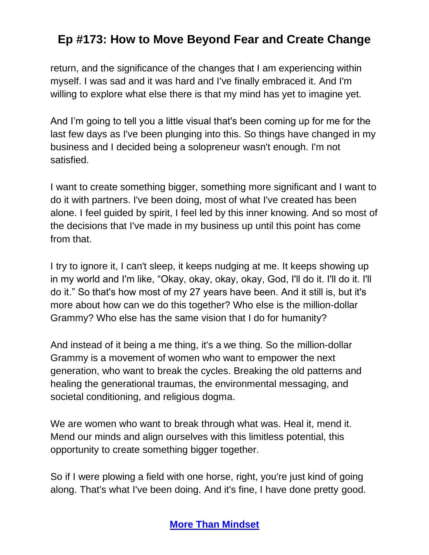return, and the significance of the changes that I am experiencing within myself. I was sad and it was hard and I've finally embraced it. And I'm willing to explore what else there is that my mind has yet to imagine yet.

And I'm going to tell you a little visual that's been coming up for me for the last few days as I've been plunging into this. So things have changed in my business and I decided being a solopreneur wasn't enough. I'm not satisfied.

I want to create something bigger, something more significant and I want to do it with partners. I've been doing, most of what I've created has been alone. I feel guided by spirit, I feel led by this inner knowing. And so most of the decisions that I've made in my business up until this point has come from that.

I try to ignore it, I can't sleep, it keeps nudging at me. It keeps showing up in my world and I'm like, "Okay, okay, okay, okay, God, I'll do it. I'll do it. I'll do it." So that's how most of my 27 years have been. And it still is, but it's more about how can we do this together? Who else is the million-dollar Grammy? Who else has the same vision that I do for humanity?

And instead of it being a me thing, it's a we thing. So the million-dollar Grammy is a movement of women who want to empower the next generation, who want to break the cycles. Breaking the old patterns and healing the generational traumas, the environmental messaging, and societal conditioning, and religious dogma.

We are women who want to break through what was. Heal it, mend it. Mend our minds and align ourselves with this limitless potential, this opportunity to create something bigger together.

So if I were plowing a field with one horse, right, you're just kind of going along. That's what I've been doing. And it's fine, I have done pretty good.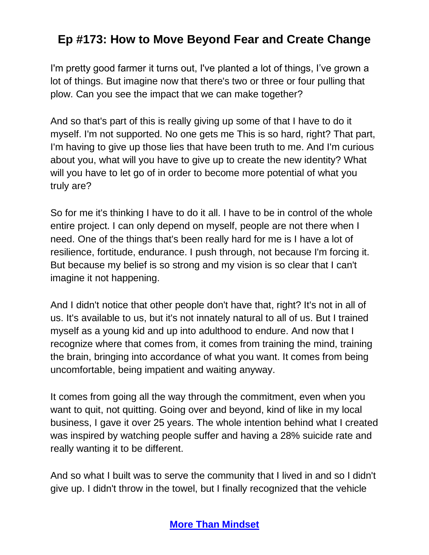I'm pretty good farmer it turns out, I've planted a lot of things, I've grown a lot of things. But imagine now that there's two or three or four pulling that plow. Can you see the impact that we can make together?

And so that's part of this is really giving up some of that I have to do it myself. I'm not supported. No one gets me This is so hard, right? That part, I'm having to give up those lies that have been truth to me. And I'm curious about you, what will you have to give up to create the new identity? What will you have to let go of in order to become more potential of what you truly are?

So for me it's thinking I have to do it all. I have to be in control of the whole entire project. I can only depend on myself, people are not there when I need. One of the things that's been really hard for me is I have a lot of resilience, fortitude, endurance. I push through, not because I'm forcing it. But because my belief is so strong and my vision is so clear that I can't imagine it not happening.

And I didn't notice that other people don't have that, right? It's not in all of us. It's available to us, but it's not innately natural to all of us. But I trained myself as a young kid and up into adulthood to endure. And now that I recognize where that comes from, it comes from training the mind, training the brain, bringing into accordance of what you want. It comes from being uncomfortable, being impatient and waiting anyway.

It comes from going all the way through the commitment, even when you want to quit, not quitting. Going over and beyond, kind of like in my local business, I gave it over 25 years. The whole intention behind what I created was inspired by watching people suffer and having a 28% suicide rate and really wanting it to be different.

And so what I built was to serve the community that I lived in and so I didn't give up. I didn't throw in the towel, but I finally recognized that the vehicle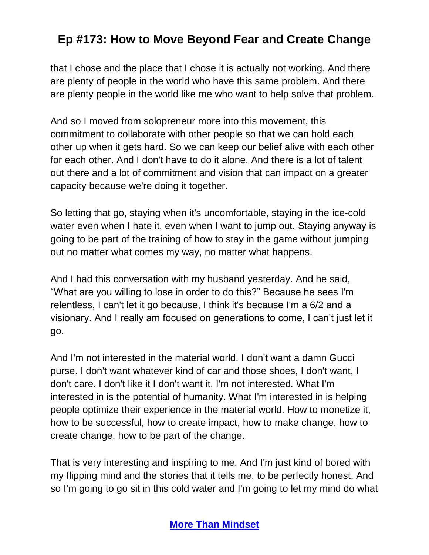that I chose and the place that I chose it is actually not working. And there are plenty of people in the world who have this same problem. And there are plenty people in the world like me who want to help solve that problem.

And so I moved from solopreneur more into this movement, this commitment to collaborate with other people so that we can hold each other up when it gets hard. So we can keep our belief alive with each other for each other. And I don't have to do it alone. And there is a lot of talent out there and a lot of commitment and vision that can impact on a greater capacity because we're doing it together.

So letting that go, staying when it's uncomfortable, staying in the ice-cold water even when I hate it, even when I want to jump out. Staying anyway is going to be part of the training of how to stay in the game without jumping out no matter what comes my way, no matter what happens.

And I had this conversation with my husband yesterday. And he said, "What are you willing to lose in order to do this?" Because he sees I'm relentless, I can't let it go because, I think it's because I'm a 6/2 and a visionary. And I really am focused on generations to come, I can't just let it go.

And I'm not interested in the material world. I don't want a damn Gucci purse. I don't want whatever kind of car and those shoes, I don't want, I don't care. I don't like it I don't want it, I'm not interested. What I'm interested in is the potential of humanity. What I'm interested in is helping people optimize their experience in the material world. How to monetize it, how to be successful, how to create impact, how to make change, how to create change, how to be part of the change.

That is very interesting and inspiring to me. And I'm just kind of bored with my flipping mind and the stories that it tells me, to be perfectly honest. And so I'm going to go sit in this cold water and I'm going to let my mind do what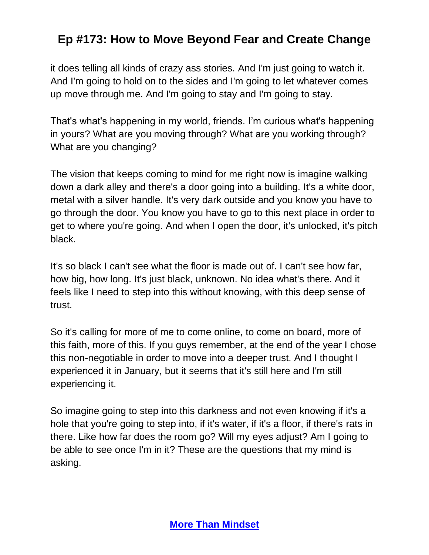it does telling all kinds of crazy ass stories. And I'm just going to watch it. And I'm going to hold on to the sides and I'm going to let whatever comes up move through me. And I'm going to stay and I'm going to stay.

That's what's happening in my world, friends. I'm curious what's happening in yours? What are you moving through? What are you working through? What are you changing?

The vision that keeps coming to mind for me right now is imagine walking down a dark alley and there's a door going into a building. It's a white door, metal with a silver handle. It's very dark outside and you know you have to go through the door. You know you have to go to this next place in order to get to where you're going. And when I open the door, it's unlocked, it's pitch black.

It's so black I can't see what the floor is made out of. I can't see how far, how big, how long. It's just black, unknown. No idea what's there. And it feels like I need to step into this without knowing, with this deep sense of trust.

So it's calling for more of me to come online, to come on board, more of this faith, more of this. If you guys remember, at the end of the year I chose this non-negotiable in order to move into a deeper trust. And I thought I experienced it in January, but it seems that it's still here and I'm still experiencing it.

So imagine going to step into this darkness and not even knowing if it's a hole that you're going to step into, if it's water, if it's a floor, if there's rats in there. Like how far does the room go? Will my eyes adjust? Am I going to be able to see once I'm in it? These are the questions that my mind is asking.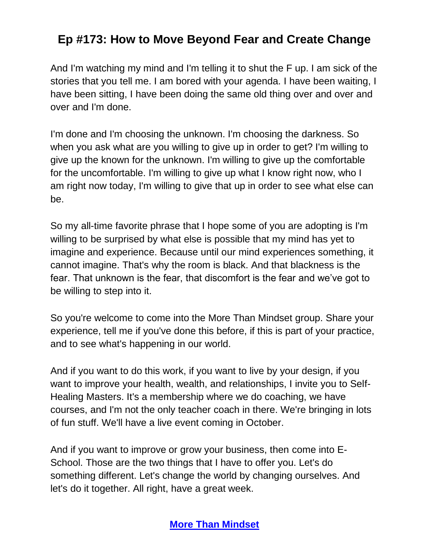And I'm watching my mind and I'm telling it to shut the F up. I am sick of the stories that you tell me. I am bored with your agenda. I have been waiting, I have been sitting, I have been doing the same old thing over and over and over and I'm done.

I'm done and I'm choosing the unknown. I'm choosing the darkness. So when you ask what are you willing to give up in order to get? I'm willing to give up the known for the unknown. I'm willing to give up the comfortable for the uncomfortable. I'm willing to give up what I know right now, who I am right now today, I'm willing to give that up in order to see what else can be.

So my all-time favorite phrase that I hope some of you are adopting is I'm willing to be surprised by what else is possible that my mind has yet to imagine and experience. Because until our mind experiences something, it cannot imagine. That's why the room is black. And that blackness is the fear. That unknown is the fear, that discomfort is the fear and we've got to be willing to step into it.

So you're welcome to come into the More Than Mindset group. Share your experience, tell me if you've done this before, if this is part of your practice, and to see what's happening in our world.

And if you want to do this work, if you want to live by your design, if you want to improve your health, wealth, and relationships, I invite you to Self-Healing Masters. It's a membership where we do coaching, we have courses, and I'm not the only teacher coach in there. We're bringing in lots of fun stuff. We'll have a live event coming in October.

And if you want to improve or grow your business, then come into E-School. Those are the two things that I have to offer you. Let's do something different. Let's change the world by changing ourselves. And let's do it together. All right, have a great week.